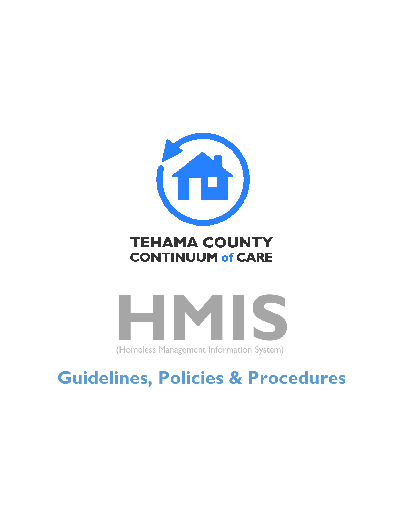

## **TEHAMA COUNTY CONTINUUM of CARE**

<span id="page-0-0"></span>

# **Guidelines, Policies & Procedures**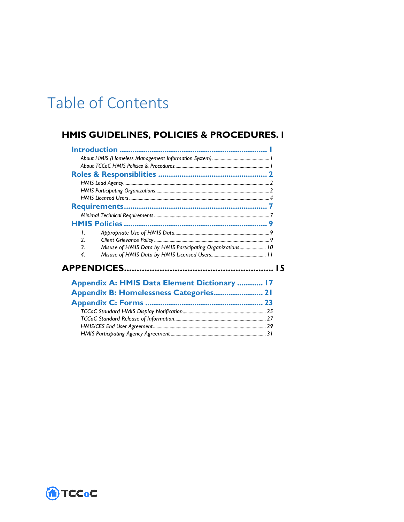## Table of Contents

## HMIS GUIDELINES, POLICIES & PROCEDURES. I

| $\mathbf{I}$                                                    |    |
|-----------------------------------------------------------------|----|
| $\mathcal{P}$                                                   |    |
| 3<br>Misuse of HMIS Data by HMIS Participating Organizations 10 |    |
| 4                                                               |    |
|                                                                 | 15 |
| Appendix A: HMIS Data Element Dictionary  17                    |    |
| Appendix B: Homelessness Categories 21                          |    |
|                                                                 |    |
|                                                                 |    |
|                                                                 |    |
|                                                                 |    |
|                                                                 |    |

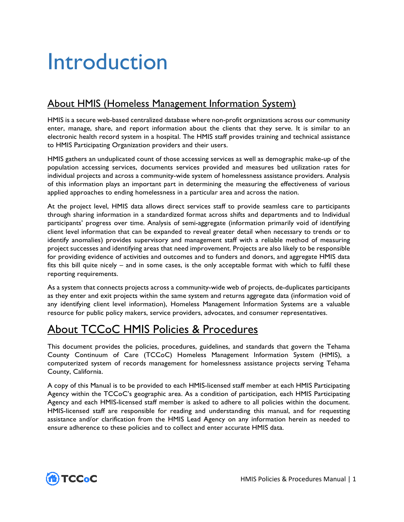# <span id="page-4-0"></span>Introduction

## <span id="page-4-1"></span>About HMIS (Homeless Management Information System)

HMIS is a secure web-based centralized database where non-profit organizations across our community enter, manage, share, and report information about the clients that they serve. It is similar to an electronic health record system in a hospital. The HMIS staff provides training and technical assistance to HMIS Participating Organization providers and their users.

HMIS gathers an unduplicated count of those accessing services as well as demographic make-up of the population accessing services, documents services provided and measures bed utilization rates for individual projects and across a community-wide system of homelessness assistance providers. Analysis of this information plays an important part in determining the measuring the effectiveness of various applied approaches to ending homelessness in a particular area and across the nation.

At the project level, HMIS data allows direct services staff to provide seamless care to participants through sharing information in a standardized format across shifts and departments and to Individual participants' progress over time. Analysis of semi-aggregate (information primarily void of identifying client level information that can be expanded to reveal greater detail when necessary to trends or to identify anomalies) provides supervisory and management staff with a reliable method of measuring project successes and identifying areas that need improvement. Projects are also likely to be responsible for providing evidence of activities and outcomes and to funders and donors, and aggregate HMIS data fits this bill quite nicely – and in some cases, is the only acceptable format with which to fulfil these reporting requirements.

As a system that connects projects across a community-wide web of projects, de-duplicates participants as they enter and exit projects within the same system and returns aggregate data (information void of any identifying client level information), Homeless Management Information Systems are a valuable resource for public policy makers, service providers, advocates, and consumer representatives.

## <span id="page-4-2"></span>About TCCoC HMIS Policies & Procedures

This document provides the policies, procedures, guidelines, and standards that govern the Tehama County Continuum of Care (TCCoC) Homeless Management Information System (HMIS), a computerized system of records management for homelessness assistance projects serving Tehama County, California.

A copy of this Manual is to be provided to each HMIS-licensed staff member at each HMIS Participating Agency within the TCCoC's geographic area. As a condition of participation, each HMIS Participating Agency and each HMIS-licensed staff member is asked to adhere to all policies within the document. HMIS-licensed staff are responsible for reading and understanding this manual, and for requesting assistance and/or clarification from the HMIS Lead Agency on any information herein as needed to ensure adherence to these policies and to collect and enter accurate HMIS data.

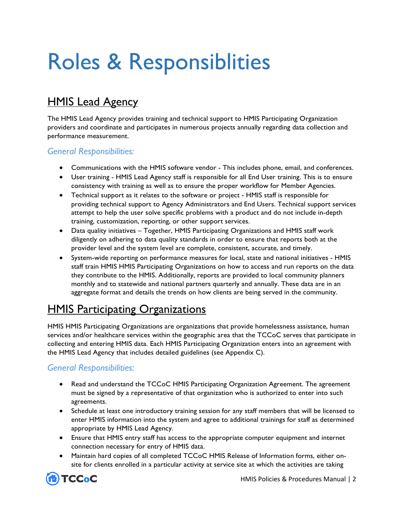# <span id="page-5-0"></span>Roles & Responsiblities

## <span id="page-5-1"></span>HMIS Lead Agency

The HMIS Lead Agency provides training and technical support to HMIS Participating Organization providers and coordinate and participates in numerous projects annually regarding data collection and performance measurement.

## *General Responsibilities:*

- Communications with the HMIS software vendor This includes phone, email, and conferences.
- User training HMIS Lead Agency staff is responsible for all End User training. This is to ensure consistency with training as well as to ensure the proper workflow for Member Agencies.
- Technical support as it relates to the software or project HMIS staff is responsible for providing technical support to Agency Administrators and End Users. Technical support services attempt to help the user solve specific problems with a product and do not include in-depth training, customization, reporting, or other support services.
- Data quality initiatives Together, HMIS Participating Organizations and HMIS staff work diligently on adhering to data quality standards in order to ensure that reports both at the provider level and the system level are complete, consistent, accurate, and timely.
- System-wide reporting on performance measures for local, state and national initiatives HMIS staff train HMIS HMIS Participating Organizations on how to access and run reports on the data they contribute to the HMIS. Additionally, reports are provided to local community planners monthly and to statewide and national partners quarterly and annually. These data are in an aggregate format and details the trends on how clients are being served in the community.

## <span id="page-5-2"></span>**HMIS Participating Organizations**

HMIS HMIS Participating Organizations are organizations that provide homelessness assistance, human services and/or healthcare services within the geographic area that the TCCoC serves that participate in collecting and entering HMIS data. Each HMIS Participating Organization enters into an agreement with the HMIS Lead Agency that includes detailed guidelines (see Appendix C).

## *General Responsibilities:*

- Read and understand the TCCoC HMIS Participating Organization Agreement. The agreement must be signed by a representative of that organization who is authorized to enter into such agreements.
- Schedule at least one introductory training session for any staff members that will be licensed to enter HMIS information into the system and agree to additional trainings for staff as determined appropriate by HMIS Lead Agency.
- Ensure that HMIS entry staff has access to the appropriate computer equipment and internet connection necessary for entry of HMIS data.
- Maintain hard copies of all completed TCCoC HMIS Release of Information forms, either onsite for clients enrolled in a particular activity at service site at which the activities are taking

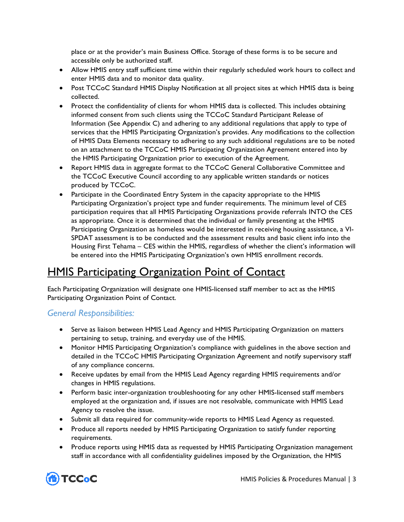place or at the provider's main Business Office. Storage of these forms is to be secure and accessible only be authorized staff.

- Allow HMIS entry staff sufficient time within their regularly scheduled work hours to collect and enter HMIS data and to monitor data quality.
- Post TCCoC Standard HMIS Display Notification at all project sites at which HMIS data is being collected.
- Protect the confidentiality of clients for whom HMIS data is collected. This includes obtaining informed consent from such clients using the TCCoC Standard Participant Release of Information (See Appendix C) and adhering to any additional regulations that apply to type of services that the HMIS Participating Organization's provides. Any modifications to the collection of HMIS Data Elements necessary to adhering to any such additional regulations are to be noted on an attachment to the TCCoC HMIS Participating Organization Agreement entered into by the HMIS Participating Organization prior to execution of the Agreement.
- Report HMIS data in aggregate format to the TCCoC General Collaborative Committee and the TCCoC Executive Council according to any applicable written standards or notices produced by TCCoC.
- Participate in the Coordinated Entry System in the capacity appropriate to the HMIS Participating Organization's project type and funder requirements. The minimum level of CES participation requires that all HMIS Participating Organizations provide referrals INTO the CES as appropriate. Once it is determined that the individual or family presenting at the HMIS Participating Organization as homeless would be interested in receiving housing assistance, a VI-SPDAT assessment is to be conducted and the assessment results and basic client info into the Housing First Tehama – CES within the HMIS, regardless of whether the client's information will be entered into the HMIS Participating Organization's own HMIS enrollment records.

## HMIS Participating Organization Point of Contact

Each Participating Organization will designate one HMIS-licensed staff member to act as the HMIS Participating Organization Point of Contact.

## *General Responsibilities:*

- Serve as liaison between HMIS Lead Agency and HMIS Participating Organization on matters pertaining to setup, training, and everyday use of the HMIS.
- Monitor HMIS Participating Organization's compliance with guidelines in the above section and detailed in the TCCoC HMIS Participating Organization Agreement and notify supervisory staff of any compliance concerns.
- Receive updates by email from the HMIS Lead Agency regarding HMIS requirements and/or changes in HMIS regulations.
- Perform basic inter-organization troubleshooting for any other HMIS-licensed staff members employed at the organization and, if issues are not resolvable, communicate with HMIS Lead Agency to resolve the issue.
- Submit all data required for community-wide reports to HMIS Lead Agency as requested.
- Produce all reports needed by HMIS Participating Organization to satisfy funder reporting requirements.
- Produce reports using HMIS data as requested by HMIS Participating Organization management staff in accordance with all confidentiality guidelines imposed by the Organization, the HMIS

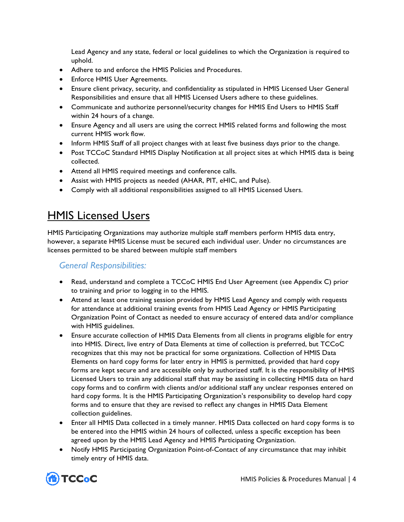Lead Agency and any state, federal or local guidelines to which the Organization is required to uphold.

- Adhere to and enforce the HMIS Policies and Procedures.
- Enforce HMIS User Agreements.
- Ensure client privacy, security, and confidentiality as stipulated in HMIS Licensed User General Responsibilities and ensure that all HMIS Licensed Users adhere to these guidelines.
- Communicate and authorize personnel/security changes for HMIS End Users to HMIS Staff within 24 hours of a change.
- Ensure Agency and all users are using the correct HMIS related forms and following the most current HMIS work flow.
- Inform HMIS Staff of all project changes with at least five business days prior to the change.
- Post TCCoC Standard HMIS Display Notification at all project sites at which HMIS data is being collected.
- Attend all HMIS required meetings and conference calls.
- Assist with HMIS projects as needed (AHAR, PIT, eHIC, and Pulse).
- Comply with all additional responsibilities assigned to all HMIS Licensed Users.

## <span id="page-7-0"></span>HMIS Licensed Users

HMIS Participating Organizations may authorize multiple staff members perform HMIS data entry, however, a separate HMIS License must be secured each individual user. Under no circumstances are licenses permitted to be shared between multiple staff members

## *General Responsibilities:*

- Read, understand and complete a TCCoC HMIS End User Agreement (see Appendix C) prior to training and prior to logging in to the HMIS.
- Attend at least one training session provided by HMIS Lead Agency and comply with requests for attendance at additional training events from HMIS Lead Agency or HMIS Participating Organization Point of Contact as needed to ensure accuracy of entered data and/or compliance with HMIS guidelines.
- Ensure accurate collection of HMIS Data Elements from all clients in programs eligible for entry into HMIS. Direct, live entry of Data Elements at time of collection is preferred, but TCCoC recognizes that this may not be practical for some organizations. Collection of HMIS Data Elements on hard copy forms for later entry in HMIS is permitted, provided that hard copy forms are kept secure and are accessible only by authorized staff. It is the responsibility of HMIS Licensed Users to train any additional staff that may be assisting in collecting HMIS data on hard copy forms and to confirm with clients and/or additional staff any unclear responses entered on hard copy forms. It is the HMIS Participating Organization's responsibility to develop hard copy forms and to ensure that they are revised to reflect any changes in HMIS Data Element collection guidelines.
- Enter all HMIS Data collected in a timely manner. HMIS Data collected on hard copy forms is to be entered into the HMIS within 24 hours of collected, unless a specific exception has been agreed upon by the HMIS Lead Agency and HMIS Participating Organization.
- Notify HMIS Participating Organization Point-of-Contact of any circumstance that may inhibit timely entry of HMIS data.

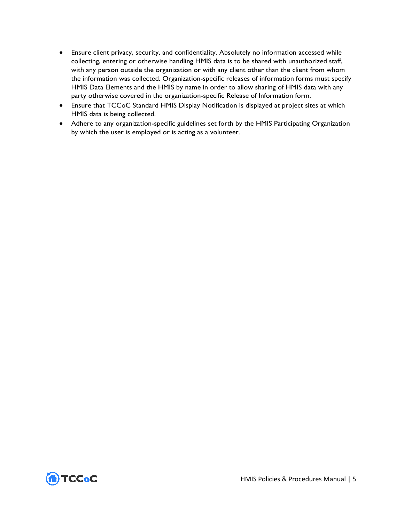- Ensure client privacy, security, and confidentiality. Absolutely no information accessed while collecting, entering or otherwise handling HMIS data is to be shared with unauthorized staff, with any person outside the organization or with any client other than the client from whom the information was collected. Organization-specific releases of information forms must specify HMIS Data Elements and the HMIS by name in order to allow sharing of HMIS data with any party otherwise covered in the organization-specific Release of Information form.
- Ensure that TCCoC Standard HMIS Display Notification is displayed at project sites at which HMIS data is being collected.
- Adhere to any organization-specific guidelines set forth by the HMIS Participating Organization by which the user is employed or is acting as a volunteer.

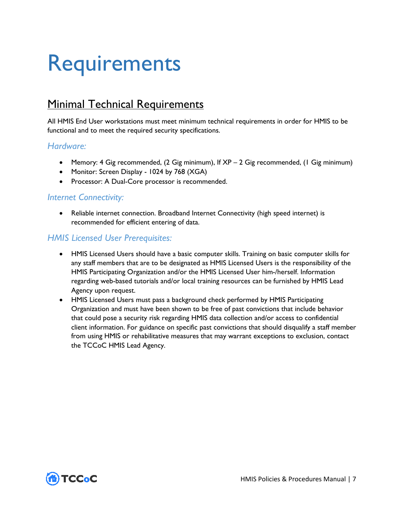# <span id="page-10-0"></span>Requirements

## <span id="page-10-1"></span>**Minimal Technical Requirements**

All HMIS End User workstations must meet minimum technical requirements in order for HMIS to be functional and to meet the required security specifications.

## *Hardware:*

- Memory: 4 Gig recommended, (2 Gig minimum), If XP 2 Gig recommended, (1 Gig minimum)
- Monitor: Screen Display 1024 by 768 (XGA)
- Processor: A Dual-Core processor is recommended.

### *Internet Connectivity:*

• Reliable internet connection. Broadband Internet Connectivity (high speed internet) is recommended for efficient entering of data.

## *HMIS Licensed User Prerequisites:*

- HMIS Licensed Users should have a basic computer skills. Training on basic computer skills for any staff members that are to be designated as HMIS Licensed Users is the responsibility of the HMIS Participating Organization and/or the HMIS Licensed User him-/herself. Information regarding web-based tutorials and/or local training resources can be furnished by HMIS Lead Agency upon request.
- HMIS Licensed Users must pass a background check performed by HMIS Participating Organization and must have been shown to be free of past convictions that include behavior that could pose a security risk regarding HMIS data collection and/or access to confidential client information. For guidance on specific past convictions that should disqualify a staff member from using HMIS or rehabilitative measures that may warrant exceptions to exclusion, contact the TCCoC HMIS Lead Agency.

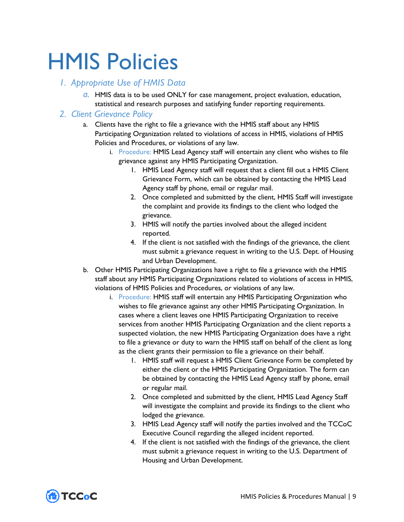# <span id="page-12-0"></span>HMIS Policies

### <span id="page-12-1"></span>*1. Appropriate Use of HMIS Data*

*a.* HMIS data is to be used ONLY for case management, project evaluation, education, statistical and research purposes and satisfying funder reporting requirements.

### <span id="page-12-2"></span>*2. Client Grievance Policy*

- a. Clients have the right to file a grievance with the HMIS staff about any HMIS Participating Organization related to violations of access in HMIS, violations of HMIS Policies and Procedures, or violations of any law.
	- i. Procedure: HMIS Lead Agency staff will entertain any client who wishes to file grievance against any HMIS Participating Organization.
		- 1. HMIS Lead Agency staff will request that a client fill out a HMIS Client Grievance Form, which can be obtained by contacting the HMIS Lead Agency staff by phone, email or regular mail.
		- 2. Once completed and submitted by the client, HMIS Staff will investigate the complaint and provide its findings to the client who lodged the grievance.
		- 3. HMIS will notify the parties involved about the alleged incident reported.
		- 4. If the client is not satisfied with the findings of the grievance, the client must submit a grievance request in writing to the U.S. Dept. of Housing and Urban Development.
- b. Other HMIS Participating Organizations have a right to file a grievance with the HMIS staff about any HMIS Participating Organizations related to violations of access in HMIS, violations of HMIS Policies and Procedures, or violations of any law.
	- i. Procedure: HMIS staff will entertain any HMIS Participating Organization who wishes to file grievance against any other HMIS Participating Organization. In cases where a client leaves one HMIS Participating Organization to receive services from another HMIS Participating Organization and the client reports a suspected violation, the new HMIS Participating Organization does have a right to file a grievance or duty to warn the HMIS staff on behalf of the client as long as the client grants their permission to file a grievance on their behalf.
		- 1. HMIS staff will request a HMIS Client Grievance Form be completed by either the client or the HMIS Participating Organization. The form can be obtained by contacting the HMIS Lead Agency staff by phone, email or regular mail.
		- 2. Once completed and submitted by the client, HMIS Lead Agency Staff will investigate the complaint and provide its findings to the client who lodged the grievance.
		- 3. HMIS Lead Agency staff will notify the parties involved and the TCCoC Executive Council regarding the alleged incident reported.
		- 4. If the client is not satisfied with the findings of the grievance, the client must submit a grievance request in writing to the U.S. Department of Housing and Urban Development.

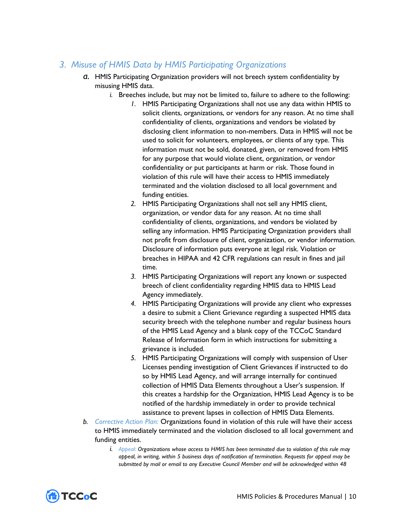## <span id="page-13-0"></span>*3. Misuse of HMIS Data by HMIS Participating Organizations*

- *a.* HMIS Participating Organization providers will not breech system confidentiality by misusing HMIS data.
	- *i.* Breeches include, but may not be limited to, failure to adhere to the following:
		- *1.* HMIS Participating Organizations shall not use any data within HMIS to solicit clients, organizations, or vendors for any reason. At no time shall confidentiality of clients, organizations and vendors be violated by disclosing client information to non-members. Data in HMIS will not be used to solicit for volunteers, employees, or clients of any type. This information must not be sold, donated, given, or removed from HMIS for any purpose that would violate client, organization, or vendor confidentiality or put participants at harm or risk. Those found in violation of this rule will have their access to HMIS immediately terminated and the violation disclosed to all local government and funding entities.
		- *2.* HMIS Participating Organizations shall not sell any HMIS client, organization, or vendor data for any reason. At no time shall confidentiality of clients, organizations, and vendors be violated by selling any information. HMIS Participating Organization providers shall not profit from disclosure of client, organization, or vendor information. Disclosure of information puts everyone at legal risk. Violation or breaches in HIPAA and 42 CFR regulations can result in fines and jail time.
		- *3.* HMIS Participating Organizations will report any known or suspected breech of client confidentiality regarding HMIS data to HMIS Lead Agency immediately.
		- *4.* HMIS Participating Organizations will provide any client who expresses a desire to submit a Client Grievance regarding a suspected HMIS data security breech with the telephone number and regular business hours of the HMIS Lead Agency and a blank copy of the TCCoC Standard Release of Information form in which instructions for submitting a grievance is included.
		- *5.* HMIS Participating Organizations will comply with suspension of User Licenses pending investigation of Client Grievances if instructed to do so by HMIS Lead Agency, and will arrange internally for continued collection of HMIS Data Elements throughout a User's suspension. If this creates a hardship for the Organization, HMIS Lead Agency is to be notified of the hardship immediately in order to provide technical assistance to prevent lapses in collection of HMIS Data Elements.
- *b. Corrective Action Plan:* Organizations found in violation of this rule will have their access to HMIS immediately terminated and the violation disclosed to all local government and funding entities.
	- *i. Appeal: Organizations whose access to HMIS has been terminated due to violation of this rule may appeal, in writing, within 5 business days of notification of termination. Requests for appeal may be submitted by mail or email to any Executive Council Member and will be acknowledged within 48*

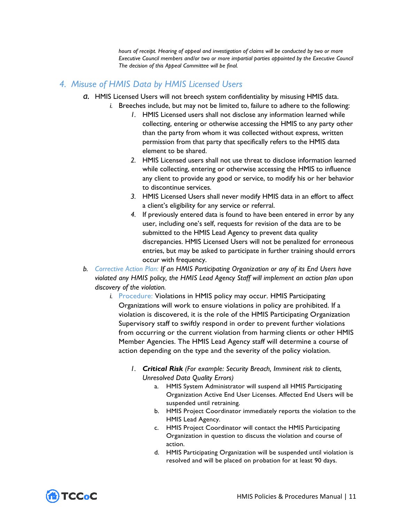*hours of receipt. Hearing of appeal and investigation of claims will be conducted by two or more Executive Council members and/or two or more impartial parties appointed by the Executive Council The decision of this Appeal Committee will be final.*

## <span id="page-14-0"></span>*4. Misuse of HMIS Data by HMIS Licensed Users*

- *a.* HMIS Licensed Users will not breech system confidentiality by misusing HMIS data.
	- *i.* Breeches include, but may not be limited to, failure to adhere to the following:
		- *1.* HMIS Licensed users shall not disclose any information learned while collecting, entering or otherwise accessing the HMIS to any party other than the party from whom it was collected without express, written permission from that party that specifically refers to the HMIS data element to be shared.
		- *2.* HMIS Licensed users shall not use threat to disclose information learned while collecting, entering or otherwise accessing the HMIS to influence any client to provide any good or service, to modify his or her behavior to discontinue services.
		- *3.* HMIS Licensed Users shall never modify HMIS data in an effort to affect a client's eligibility for any service or referral.
		- *4.* If previously entered data is found to have been entered in error by any user, including one's self, requests for revision of the data are to be submitted to the HMIS Lead Agency to prevent data quality discrepancies. HMIS Licensed Users will not be penalized for erroneous entries, but may be asked to participate in further training should errors occur with frequency.
- *b. Corrective Action Plan: If an HMIS Participating Organization or any of its End Users have violated any HMIS policy, the HMIS Lead Agency Staff will implement an action plan upon discovery of the violation.*
	- *i.* Procedure: Violations in HMIS policy may occur. HMIS Participating Organizations will work to ensure violations in policy are prohibited. If a violation is discovered, it is the role of the HMIS Participating Organization Supervisory staff to swiftly respond in order to prevent further violations from occurring or the current violation from harming clients or other HMIS Member Agencies. The HMIS Lead Agency staff will determine a course of action depending on the type and the severity of the policy violation.
		- *1. Critical Risk (For example: Security Breach, Imminent risk to clients, Unresolved Data Quality Errors)*
			- a. HMIS System Administrator will suspend all HMIS Participating Organization Active End User Licenses. Affected End Users will be suspended until retraining.
			- b. HMIS Project Coordinator immediately reports the violation to the HMIS Lead Agency.
			- c. HMIS Project Coordinator will contact the HMIS Participating Organization in question to discuss the violation and course of action.
			- d. HMIS Participating Organization will be suspended until violation is resolved and will be placed on probation for at least 90 days.

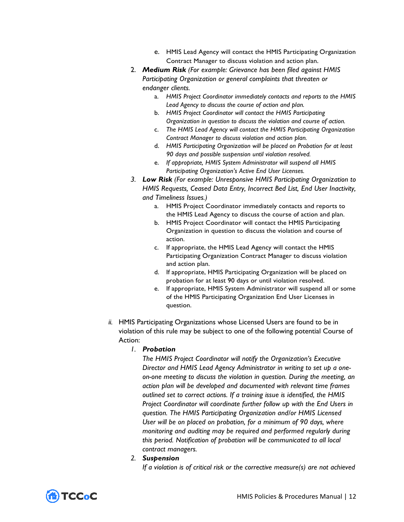- e. HMIS Lead Agency will contact the HMIS Participating Organization Contract Manager to discuss violation and action plan.
- 2. *Medium Risk (For example: Grievance has been filed against HMIS Participating Organization or general complaints that threaten or endanger clients.*
	- a. *HMIS Project Coordinator immediately contacts and reports to the HMIS Lead Agency to discuss the course of action and plan.*
	- b. *HMIS Project Coordinator will contact the HMIS Participating Organization in question to discuss the violation and course of action.*
	- c. *The HMIS Lead Agency will contact the HMIS Participating Organization Contract Manager to discuss violation and action plan.*
	- d. *HMIS Participating Organization will be placed on Probation for at least 90 days and possible suspension until violation resolved.*
	- e. *If appropriate, HMIS System Administrator will suspend all HMIS Participating Organization's Active End User Licenses.*
- *3. Low Risk (For example: Unresponsive HMIS Participating Organization to HMIS Requests, Ceased Data Entry, Incorrect Bed List, End User Inactivity, and Timeliness Issues.)*
	- a. HMIS Project Coordinator immediately contacts and reports to the HMIS Lead Agency to discuss the course of action and plan.
	- b. HMIS Project Coordinator will contact the HMIS Participating Organization in question to discuss the violation and course of action.
	- c. If appropriate, the HMIS Lead Agency will contact the HMIS Participating Organization Contract Manager to discuss violation and action plan.
	- d. If appropriate, HMIS Participating Organization will be placed on probation for at least 90 days or until violation resolved.
	- e. If appropriate, HMIS System Administrator will suspend all or some of the HMIS Participating Organization End User Licenses in question.
- *ii.* HMIS Participating Organizations whose Licensed Users are found to be in violation of this rule may be subject to one of the following potential Course of Action:

#### *1. Probation*

*The HMIS Project Coordinator will notify the Organization's Executive Director and HMIS Lead Agency Administrator in writing to set up a oneon-one meeting to discuss the violation in question. During the meeting, an action plan will be developed and documented with relevant time frames outlined set to correct actions. If a training issue is identified, the HMIS Project Coordinator will coordinate further follow up with the End Users in question. The HMIS Participating Organization and/or HMIS Licensed User will be on placed on probation, for a minimum of 90 days, where monitoring and auditing may be required and performed regularly during this period. Notification of probation will be communicated to all local contract managers.*

#### *2. Suspension*

*If a violation is of critical risk or the corrective measure(s) are not achieved* 

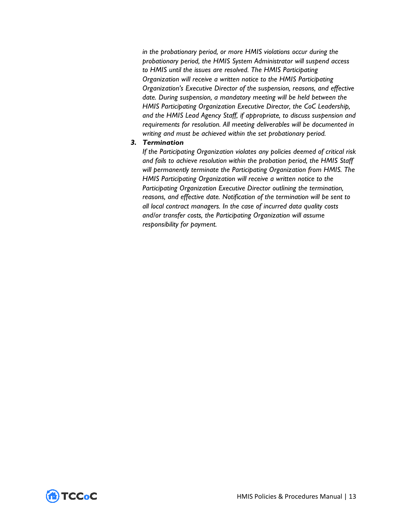*in the probationary period, or more HMIS violations occur during the probationary period, the HMIS System Administrator will suspend access to HMIS until the issues are resolved. The HMIS Participating Organization will receive a written notice to the HMIS Participating Organization's Executive Director of the suspension, reasons, and effective date. During suspension, a mandatory meeting will be held between the HMIS Participating Organization Executive Director, the CoC Leadership, and the HMIS Lead Agency Staff, if appropriate, to discuss suspension and requirements for resolution. All meeting deliverables will be documented in writing and must be achieved within the set probationary period.*

#### *3. Termination*

*If the Participating Organization violates any policies deemed of critical risk and fails to achieve resolution within the probation period, the HMIS Staff will permanently terminate the Participating Organization from HMIS. The HMIS Participating Organization will receive a written notice to the Participating Organization Executive Director outlining the termination, reasons, and effective date. Notification of the termination will be sent to all local contract managers. In the case of incurred data quality costs and/or transfer costs, the Participating Organization will assume responsibility for payment.*

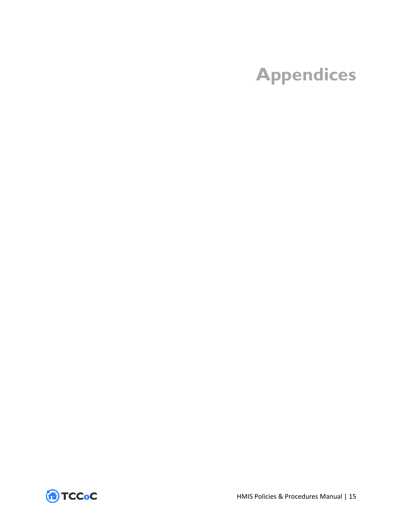# <span id="page-18-0"></span>**Appendices**

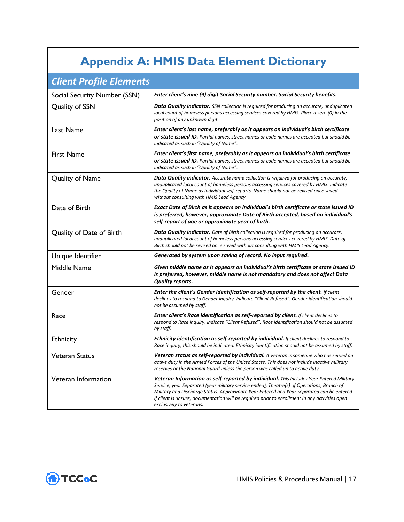## **Appendix A: HMIS Data Element Dictionary**

<span id="page-20-0"></span>

| <b>Client Profile Elements</b> |                                                                                                                                                                                                                                                                                                                                                                                                                         |
|--------------------------------|-------------------------------------------------------------------------------------------------------------------------------------------------------------------------------------------------------------------------------------------------------------------------------------------------------------------------------------------------------------------------------------------------------------------------|
| Social Security Number (SSN)   | Enter client's nine (9) digit Social Security number. Social Security benefits.                                                                                                                                                                                                                                                                                                                                         |
| Quality of SSN                 | <b>Data Quality indicator.</b> SSN collection is required for producing an accurate, unduplicated<br>local count of homeless persons accessing services covered by HMIS. Place a zero (0) in the<br>position of any unknown digit.                                                                                                                                                                                      |
| Last Name                      | Enter client's last name, preferably as it appears on individual's birth certificate<br>or state issued ID. Partial names, street names or code names are accepted but should be<br>indicated as such in "Quality of Name".                                                                                                                                                                                             |
| <b>First Name</b>              | Enter client's first name, preferably as it appears on individual's birth certificate<br><b>or state issued ID.</b> Partial names, street names or code names are accepted but should be<br>indicated as such in "Quality of Name".                                                                                                                                                                                     |
| Quality of Name                | <b>Data Quality indicator.</b> Accurate name collection is required for producing an accurate,<br>unduplicated local count of homeless persons accessing services covered by HMIS. Indicate<br>the Quality of Name as individual self-reports. Name should not be revised once saved<br>without consulting with HMIS Lead Agency.                                                                                       |
| Date of Birth                  | Exact Date of Birth as it appears on individual's birth certificate or state issued ID<br>is preferred, however, approximate Date of Birth accepted, based on individual's<br>self-report of age or approximate year of birth.                                                                                                                                                                                          |
| Quality of Date of Birth       | <b>Data Quality indicator.</b> Date of Birth collection is required for producing an accurate,<br>unduplicated local count of homeless persons accessing services covered by HMIS. Date of<br>Birth should not be revised once saved without consulting with HMIS Lead Agency.                                                                                                                                          |
| Unique Identifier              | Generated by system upon saving of record. No input required.                                                                                                                                                                                                                                                                                                                                                           |
| Middle Name                    | Given middle name as it appears on individual's birth certificate or state issued ID<br>is preferred, however, middle name is not mandatory and does not affect Data<br><b>Quality reports.</b>                                                                                                                                                                                                                         |
| Gender                         | Enter the client's Gender identification as self-reported by the client. If client<br>declines to respond to Gender inquiry, indicate "Client Refused". Gender identification should<br>not be assumed by staff.                                                                                                                                                                                                        |
| Race                           | <b>Enter client's Race identification as self-reported by client.</b> If client declines to<br>respond to Race inquiry, indicate "Client Refused". Race identification should not be assumed<br>by staff.                                                                                                                                                                                                               |
| Ethnicity                      | <b>Ethnicity identification as self-reported by individual.</b> If client declines to respond to<br>Race inquiry, this should be indicated. Ethnicity identification should not be assumed by staff.                                                                                                                                                                                                                    |
| <b>Veteran Status</b>          | <b>Veteran status as self-reported by individual.</b> A Veteran is someone who has served on<br>active duty in the Armed Forces of the United States. This does not include inactive military<br>reserves or the National Guard unless the person was called up to active duty.                                                                                                                                         |
| Veteran Information            | <b>Veteran Information as self-reported by individual.</b> This includes Year Entered Military<br>Service, year Separated (year military service ended), Theatre(s) of Operations, Branch of<br>Military and Discharge Status. Approximate Year Entered and Year Separated can be entered<br>if client is unsure; documentation will be required prior to enrollment in any activities open<br>exclusively to veterans. |

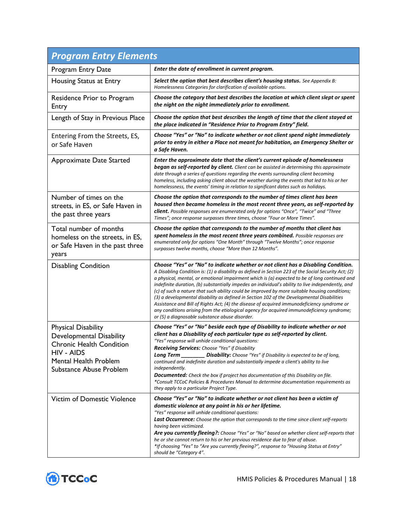| <b>Program Entry Elements</b>                                                                                                                                             |                                                                                                                                                                                                                                                                                                                                                                                                                                                                                                                                                                                                                                                                                                                                                                                                                                               |  |
|---------------------------------------------------------------------------------------------------------------------------------------------------------------------------|-----------------------------------------------------------------------------------------------------------------------------------------------------------------------------------------------------------------------------------------------------------------------------------------------------------------------------------------------------------------------------------------------------------------------------------------------------------------------------------------------------------------------------------------------------------------------------------------------------------------------------------------------------------------------------------------------------------------------------------------------------------------------------------------------------------------------------------------------|--|
| Program Entry Date                                                                                                                                                        | Enter the date of enrollment in current program.                                                                                                                                                                                                                                                                                                                                                                                                                                                                                                                                                                                                                                                                                                                                                                                              |  |
| Housing Status at Entry                                                                                                                                                   | Select the option that best describes client's housing status. See Appendix B:<br>Homelessness Categories for clarification of available options.                                                                                                                                                                                                                                                                                                                                                                                                                                                                                                                                                                                                                                                                                             |  |
| Residence Prior to Program<br>Entry                                                                                                                                       | Choose the category that best describes the location at which client slept or spent<br>the night on the night immediately prior to enrollment.                                                                                                                                                                                                                                                                                                                                                                                                                                                                                                                                                                                                                                                                                                |  |
| Length of Stay in Previous Place                                                                                                                                          | Choose the option that best describes the length of time that the client stayed at<br>the place indicated in "Residence Prior to Program Entry" field.                                                                                                                                                                                                                                                                                                                                                                                                                                                                                                                                                                                                                                                                                        |  |
| Entering From the Streets, ES,<br>or Safe Haven                                                                                                                           | Choose "Yes" or "No" to indicate whether or not client spend night immediately<br>prior to entry in either a Place not meant for habitation, an Emergency Shelter or<br>a Safe Haven.                                                                                                                                                                                                                                                                                                                                                                                                                                                                                                                                                                                                                                                         |  |
| Approximate Date Started                                                                                                                                                  | Enter the approximate date that the client's current episode of homelessness<br><b>began as self-reported by client.</b> Client can be assisted in determining this approximate<br>date through a series of questions regarding the events surrounding client becoming<br>homeless, including asking client about the weather during the events that led to his or her<br>homelessness, the events' timing in relation to significant dates such as holidays.                                                                                                                                                                                                                                                                                                                                                                                 |  |
| Number of times on the<br>streets, in ES, or Safe Haven in<br>the past three years                                                                                        | Choose the option that corresponds to the number of times client has been<br>housed then became homeless in the most recent three years, as self-reported by<br>client. Possible responses are enumerated only for options "Once", "Twice" and "Three<br>Times"; once response surpasses three times, choose "Four or More Times".                                                                                                                                                                                                                                                                                                                                                                                                                                                                                                            |  |
| Total number of months<br>homeless on the streets, in ES,<br>or Safe Haven in the past three<br>years                                                                     | Choose the option that corresponds to the number of months that client has<br>spent homeless in the most recent three years combined. Possible responses are<br>enumerated only for options "One Month" through "Twelve Months"; once response<br>surpasses twelve months, choose "More than 12 Months".                                                                                                                                                                                                                                                                                                                                                                                                                                                                                                                                      |  |
| <b>Disabling Condition</b>                                                                                                                                                | Choose "Yes" or "No" to indicate whether or not client has a Disabling Condition.<br>A Disabling Condition is: (1) a disability as defined in Section 223 of the Social Security Act; (2)<br>a physical, mental, or emotional impairment which is (a) expected to be of long continued and<br>indefinite duration, (b) substantially impedes an individual's ability to live independently, and<br>(c) of such a nature that such ability could be improved by more suitable housing conditions;<br>(3) a developmental disability as defined in Section 102 of the Developmental Disabilities<br>Assistance and Bill of Rights Act; (4) the disease of acquired immunodeficiency syndrome or<br>any conditions arising from the etiological agency for acquired immunodeficiency syndrome;<br>or (5) a diagnosable substance abuse disorder. |  |
| Physical Disability<br><b>Developmental Disability</b><br><b>Chronic Health Condition</b><br><b>HIV - AIDS</b><br><b>Mental Health Problem</b><br>Substance Abuse Problem | Choose "Yes" or "No" beside each type of Disability to indicate whether or not<br>client has a Disability of each particular type as self-reported by client.<br>"Yes" response will unhide conditional questions:<br>Receiving Services: Choose "Yes" if Disability<br>Long Term __________ Disability: Choose "Yes" if Disability is expected to be of long,<br>continued and indefinite duration and substantially impede a client's ability to live<br>independently.<br><b>Documented:</b> Check the box if project has documentation of this Disability on file.<br>*Consult TCCoC Policies & Procedures Manual to determine documentation requirements as<br>they apply to a particular Project Type.                                                                                                                                  |  |
| <b>Victim of Domestic Violence</b>                                                                                                                                        | Choose "Yes" or "No" to indicate whether or not client has been a victim of<br>domestic violence at any point in his or her lifetime.<br>"Yes" response will unhide conditional questions:<br>Last Occurrence: Choose the option that corresponds to the time since client self-reports<br>having been victimized.<br>Are you currently fleeing?: Choose "Yes" or "No" based on whether client self-reports that<br>he or she cannot return to his or her previous residence due to fear of abuse.<br>*If choosing "Yes" to "Are you currently fleeing?", response to "Housing Status at Entry"<br>should be "Category 4".                                                                                                                                                                                                                    |  |

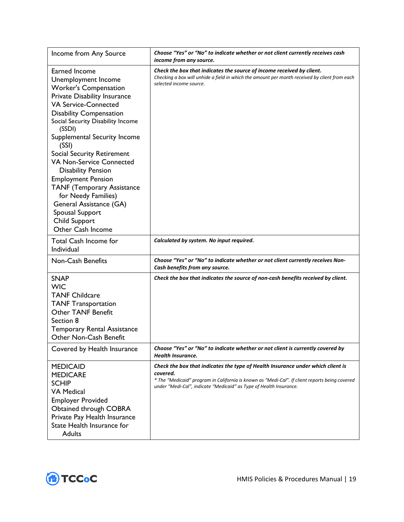| Income from Any Source                                                                                                                                                                                                                                                                                                                                                                                                                                                                                                                          | Choose "Yes" or "No" to indicate whether or not client currently receives cash<br>income from any source.                                                                                                                                                           |
|-------------------------------------------------------------------------------------------------------------------------------------------------------------------------------------------------------------------------------------------------------------------------------------------------------------------------------------------------------------------------------------------------------------------------------------------------------------------------------------------------------------------------------------------------|---------------------------------------------------------------------------------------------------------------------------------------------------------------------------------------------------------------------------------------------------------------------|
| Earned Income<br>Unemployment Income<br><b>Worker's Compensation</b><br>Private Disability Insurance<br><b>VA Service-Connected</b><br><b>Disability Compensation</b><br>Social Security Disability Income<br>(SSDI)<br>Supplemental Security Income<br>(SSI)<br><b>Social Security Retirement</b><br><b>VA Non-Service Connected</b><br><b>Disability Pension</b><br><b>Employment Pension</b><br><b>TANF (Temporary Assistance</b><br>for Needy Families)<br>General Assistance (GA)<br>Spousal Support<br>Child Support<br>Other Cash Income | Check the box that indicates the source of income received by client.<br>Checking a box will unhide a field in which the amount per month received by client from each<br>selected income source.                                                                   |
| <b>Total Cash Income for</b><br>Individual                                                                                                                                                                                                                                                                                                                                                                                                                                                                                                      | Calculated by system. No input required.                                                                                                                                                                                                                            |
| <b>Non-Cash Benefits</b>                                                                                                                                                                                                                                                                                                                                                                                                                                                                                                                        | Choose "Yes" or "No" to indicate whether or not client currently receives Non-<br>Cash benefits from any source.                                                                                                                                                    |
| <b>SNAP</b><br><b>WIC</b><br><b>TANF Childcare</b><br><b>TANF Transportation</b><br><b>Other TANF Benefit</b><br>Section 8<br><b>Temporary Rental Assistance</b><br>Other Non-Cash Benefit                                                                                                                                                                                                                                                                                                                                                      | Check the box that indicates the source of non-cash benefits received by client.                                                                                                                                                                                    |
| Covered by Health Insurance                                                                                                                                                                                                                                                                                                                                                                                                                                                                                                                     | Choose "Yes" or "No" to indicate whether or not client is currently covered by<br>Health Insurance.                                                                                                                                                                 |
| <b>MEDICAID</b><br><b>MEDICARE</b><br><b>SCHIP</b><br><b>VA Medical</b><br><b>Employer Provided</b><br>Obtained through COBRA<br>Private Pay Health Insurance<br>State Health Insurance for<br><b>Adults</b>                                                                                                                                                                                                                                                                                                                                    | Check the box that indicates the type of Health Insurance under which client is<br>covered.<br>* The "Medicaid" program in California is known as "Medi-Cal". If client reports being covered<br>under "Medi-Cal", indicate "Medicaid" as Type of Health Insurance. |

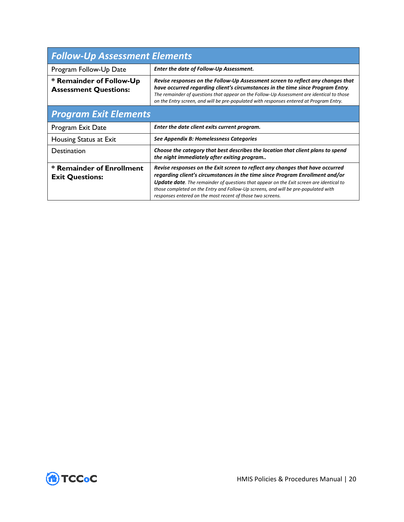| <b>Follow-Up Assessment Elements</b>                     |                                                                                                                                                                                                                                                                                                                                                                                                                     |  |
|----------------------------------------------------------|---------------------------------------------------------------------------------------------------------------------------------------------------------------------------------------------------------------------------------------------------------------------------------------------------------------------------------------------------------------------------------------------------------------------|--|
| Program Follow-Up Date                                   | Enter the date of Follow-Up Assessment.                                                                                                                                                                                                                                                                                                                                                                             |  |
| * Remainder of Follow-Up<br><b>Assessment Questions:</b> | Revise responses on the Follow-Up Assessment screen to reflect any changes that<br>have occurred regarding client's circumstances in the time since Program Entry.<br>The remainder of questions that appear on the Follow-Up Assessment are identical to those<br>on the Entry screen, and will be pre-populated with responses entered at Program Entry.                                                          |  |
| <b>Program Exit Elements</b>                             |                                                                                                                                                                                                                                                                                                                                                                                                                     |  |
| Program Exit Date                                        | Enter the date client exits current program.                                                                                                                                                                                                                                                                                                                                                                        |  |
| Housing Status at Exit                                   | See Appendix B: Homelessness Categories                                                                                                                                                                                                                                                                                                                                                                             |  |
| Destination                                              | Choose the category that best describes the location that client plans to spend<br>the night immediately after exiting program                                                                                                                                                                                                                                                                                      |  |
| * Remainder of Enrollment<br><b>Exit Questions:</b>      | Revise responses on the Exit screen to reflect any changes that have occurred<br>regarding client's circumstances in the time since Program Enrollment and/or<br><b>Update date.</b> The remainder of questions that appear on the Exit screen are identical to<br>those completed on the Entry and Follow-Up screens, and will be pre-populated with<br>responses entered on the most recent of those two screens. |  |

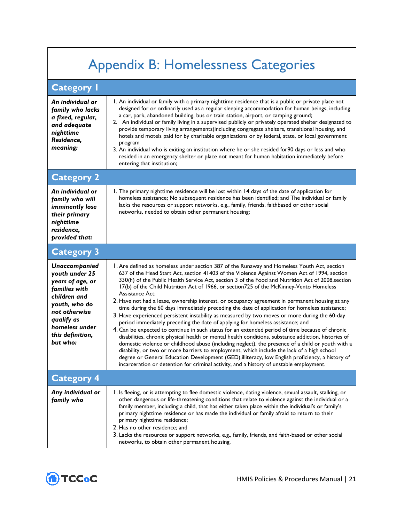## <span id="page-24-0"></span>Appendix B: Homelessness Categories

| <b>Category I</b>                                                                                                                                                                             |                                                                                                                                                                                                                                                                                                                                                                                                                                                                                                                                                                                                                                                                                                                                                                                                                                                                                                                                                                                                                                                                                                                                                                                                                                                                                                                                                                                                                    |
|-----------------------------------------------------------------------------------------------------------------------------------------------------------------------------------------------|--------------------------------------------------------------------------------------------------------------------------------------------------------------------------------------------------------------------------------------------------------------------------------------------------------------------------------------------------------------------------------------------------------------------------------------------------------------------------------------------------------------------------------------------------------------------------------------------------------------------------------------------------------------------------------------------------------------------------------------------------------------------------------------------------------------------------------------------------------------------------------------------------------------------------------------------------------------------------------------------------------------------------------------------------------------------------------------------------------------------------------------------------------------------------------------------------------------------------------------------------------------------------------------------------------------------------------------------------------------------------------------------------------------------|
| An individual or<br>family who lacks<br>a fixed, regular,<br>and adequate<br>nighttime<br>Residence,<br>meaning:                                                                              | 1. An individual or family with a primary nighttime residence that is a public or private place not<br>designed for or ordinarily used as a regular sleeping accommodation for human beings, including<br>a car, park, abandoned building, bus or train station, airport, or camping ground;<br>2. An individual or family living in a supervised publicly or privately operated shelter designated to<br>provide temporary living arrangements(including congregate shelters, transitional housing, and<br>hotels and motels paid for by charitable organizations or by federal, state, or local government<br>program<br>3. An individual who is exiting an institution where he or she resided for 90 days or less and who<br>resided in an emergency shelter or place not meant for human habitation immediately before<br>entering that institution;                                                                                                                                                                                                                                                                                                                                                                                                                                                                                                                                                          |
| <b>Category 2</b>                                                                                                                                                                             |                                                                                                                                                                                                                                                                                                                                                                                                                                                                                                                                                                                                                                                                                                                                                                                                                                                                                                                                                                                                                                                                                                                                                                                                                                                                                                                                                                                                                    |
| An individual or<br>family who will<br>imminently lose<br>their primary<br>nighttime<br>residence,<br>provided that:                                                                          | I. The primary nighttime residence will be lost within 14 days of the date of application for<br>homeless assistance; No subsequent residence has been identified; and The individual or family<br>lacks the resources or support networks, e.g., family, friends, faithbased or other social<br>networks, needed to obtain other permanent housing;                                                                                                                                                                                                                                                                                                                                                                                                                                                                                                                                                                                                                                                                                                                                                                                                                                                                                                                                                                                                                                                               |
| <b>Category 3</b>                                                                                                                                                                             |                                                                                                                                                                                                                                                                                                                                                                                                                                                                                                                                                                                                                                                                                                                                                                                                                                                                                                                                                                                                                                                                                                                                                                                                                                                                                                                                                                                                                    |
| <b>Unaccompanied</b><br>youth under 25<br>years of age, or<br>families with<br>children and<br>youth, who do<br>not otherwise<br>qualify as<br>homeless under<br>this definition,<br>but who: | I. Are defined as homeless under section 387 of the Runaway and Homeless Youth Act, section<br>637 of the Head Start Act, section 41403 of the Violence Against Women Act of 1994, section<br>330(h) of the Public Health Service Act, section 3 of the Food and Nutrition Act of 2008, section<br>17(b) of the Child Nutrition Act of 1966, or section 725 of the McKinney-Vento Homeless<br>Assistance Act:<br>2. Have not had a lease, ownership interest, or occupancy agreement in permanent housing at any<br>time during the 60 days immediately preceding the date of application for homeless assistance;<br>3. Have experienced persistent instability as measured by two moves or more during the 60-day<br>period immediately preceding the date of applying for homeless assistance; and<br>4. Can be expected to continue in such status for an extended period of time because of chronic<br>disabilities, chronic physical health or mental health conditions, substance addiction, histories of<br>domestic violence or childhood abuse (including neglect), the presence of a child or youth with a<br>disability, or two or more barriers to employment, which include the lack of a high school<br>degree or General Education Development (GED), illiteracy, low English proficiency, a history of<br>incarceration or detention for criminal activity, and a history of unstable employment. |
| <b>Category 4</b>                                                                                                                                                                             |                                                                                                                                                                                                                                                                                                                                                                                                                                                                                                                                                                                                                                                                                                                                                                                                                                                                                                                                                                                                                                                                                                                                                                                                                                                                                                                                                                                                                    |
| Any individual or<br>family who                                                                                                                                                               | 1. Is fleeing, or is attempting to flee domestic violence, dating violence, sexual assault, stalking, or<br>other dangerous or life-threatening conditions that relate to violence against the individual or a<br>family member, including a child, that has either taken place within the individual's or family's<br>primary nighttime residence or has made the individual or family afraid to return to their<br>primary nighttime residence;<br>2. Has no other residence; and<br>3. Lacks the resources or support networks, e.g., family, friends, and faith-based or other social<br>networks, to obtain other permanent housing.                                                                                                                                                                                                                                                                                                                                                                                                                                                                                                                                                                                                                                                                                                                                                                          |

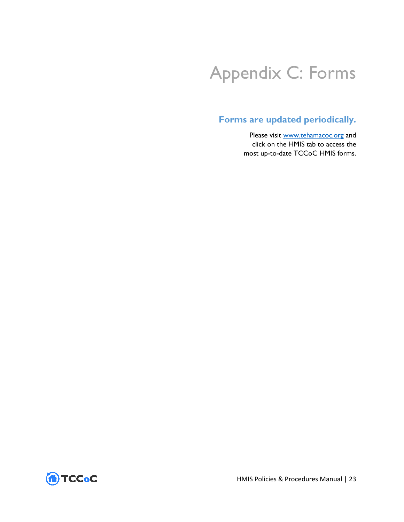## <span id="page-26-0"></span>Appendix C: Forms

## **Forms are updated periodically.**

Please visit [www.tehamacoc.org](http://www.tehamacoc.org/) and click on the HMIS tab to access the most up-to-date TCCoC HMIS forms.



HMIS Policies & Procedures Manual | 23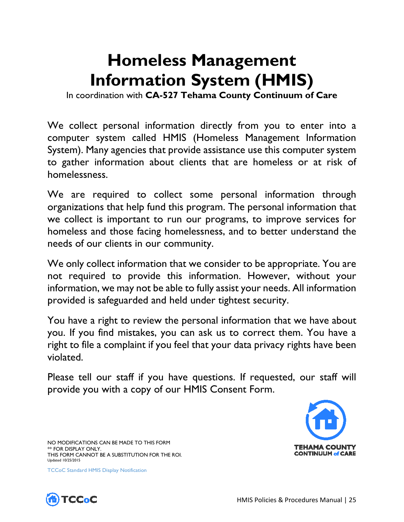## **Homeless Management Information System (HMIS)**

In coordination with **CA-527 Tehama County Continuum of Care**

We collect personal information directly from you to enter into a computer system called HMIS (Homeless Management Information System). Many agencies that provide assistance use this computer system to gather information about clients that are homeless or at risk of homelessness.

We are required to collect some personal information through organizations that help fund this program. The personal information that we collect is important to run our programs, to improve services for homeless and those facing homelessness, and to better understand the needs of our clients in our community.

We only collect information that we consider to be appropriate. You are not required to provide this information. However, without your information, we may not be able to fully assist your needs. All information provided is safeguarded and held under tightest security.

You have a right to review the personal information that we have about you. If you find mistakes, you can ask us to correct them. You have a right to file a complaint if you feel that your data privacy rights have been violated.

Please tell our staff if you have questions. If requested, our staff will provide you with a copy of our HMIS Consent Form.



NO MODIFICATIONS CAN BE MADE TO THIS FORM \*\* FOR DISPLAY ONLY. THIS FORM CANNOT BE A SUBSTITUTION FOR THE ROI. Updated 10/25/2015

<span id="page-28-0"></span>TCCoC Standard HMIS Display Notification

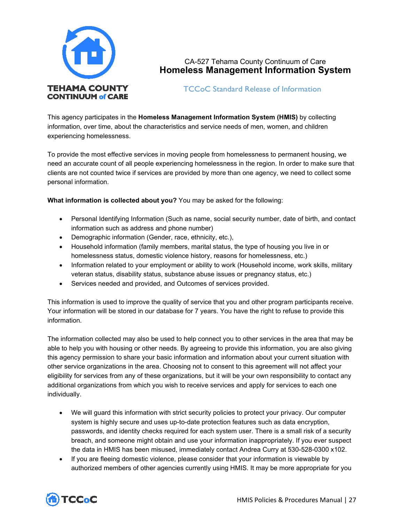

### CA-527 Tehama County Continuum of Care **Homeless Management Information System**

TCCoC Standard Release of Information

<span id="page-30-0"></span>This agency participates in the **Homeless Management Information System (HMIS)** by collecting information, over time, about the characteristics and service needs of men, women, and children experiencing homelessness.

To provide the most effective services in moving people from homelessness to permanent housing, we need an accurate count of all people experiencing homelessness in the region. In order to make sure that clients are not counted twice if services are provided by more than one agency, we need to collect some personal information.

**What information is collected about you?** You may be asked for the following:

- Personal Identifying Information (Such as name, social security number, date of birth, and contact information such as address and phone number)
- Demographic information (Gender, race, ethnicity, etc.),
- Household information (family members, marital status, the type of housing you live in or homelessness status, domestic violence history, reasons for homelessness, etc.)
- Information related to your employment or ability to work (Household income, work skills, military veteran status, disability status, substance abuse issues or pregnancy status, etc.)
- Services needed and provided, and Outcomes of services provided.

This information is used to improve the quality of service that you and other program participants receive. Your information will be stored in our database for 7 years. You have the right to refuse to provide this information.

The information collected may also be used to help connect you to other services in the area that may be able to help you with housing or other needs. By agreeing to provide this information, you are also giving this agency permission to share your basic information and information about your current situation with other service organizations in the area. Choosing not to consent to this agreement will not affect your eligibility for services from any of these organizations, but it will be your own responsibility to contact any additional organizations from which you wish to receive services and apply for services to each one individually.

- We will guard this information with strict security policies to protect your privacy. Our computer system is highly secure and uses up-to-date protection features such as data encryption, passwords, and identity checks required for each system user. There is a small risk of a security breach, and someone might obtain and use your information inappropriately. If you ever suspect the data in HMIS has been misused, immediately contact Andrea Curry at 530-528-0300 x102.
- If you are fleeing domestic violence, please consider that your information is viewable by authorized members of other agencies currently using HMIS. It may be more appropriate for you

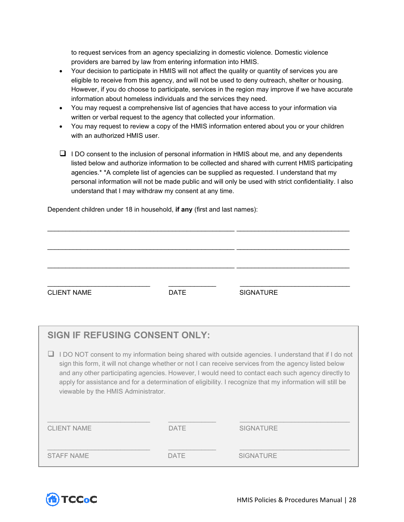to request services from an agency specializing in domestic violence. Domestic violence providers are barred by law from entering information into HMIS.

- Your decision to participate in HMIS will not affect the quality or quantity of services you are eligible to receive from this agency, and will not be used to deny outreach, shelter or housing. However, if you do choose to participate, services in the region may improve if we have accurate information about homeless individuals and the services they need.
- You may request a comprehensive list of agencies that have access to your information via written or verbal request to the agency that collected your information.
- You may request to review a copy of the HMIS information entered about you or your children with an authorized HMIS user.
- $\Box$  I DO consent to the inclusion of personal information in HMIS about me, and any dependents listed below and authorize information to be collected and shared with current HMIS participating agencies.\* \*A complete list of agencies can be supplied as requested. I understand that my personal information will not be made public and will only be used with strict confidentiality. I also understand that I may withdraw my consent at any time.

Dependent children under 18 in household, **if any** (first and last names):

| <b>CLIENT NAME</b> | <b>DATE</b> | <b>SIGNATURE</b> |
|--------------------|-------------|------------------|

\_\_\_\_\_\_\_\_\_\_\_\_\_\_\_\_\_\_\_\_\_\_\_\_\_\_\_\_\_\_\_\_\_\_\_\_\_\_\_\_\_\_\_\_\_\_\_\_\_\_\_ \_\_\_\_\_\_\_\_\_\_\_\_\_\_\_\_\_\_\_\_\_\_\_\_\_\_\_\_\_\_\_

| <b>SIGN IF REFUSING CONSENT ONLY:</b>                                                                                                                                                                                                                                                                                                                                                                                                                                     |             |                  |
|---------------------------------------------------------------------------------------------------------------------------------------------------------------------------------------------------------------------------------------------------------------------------------------------------------------------------------------------------------------------------------------------------------------------------------------------------------------------------|-------------|------------------|
| I DO NOT consent to my information being shared with outside agencies. I understand that if I do not<br>sign this form, it will not change whether or not I can receive services from the agency listed below<br>and any other participating agencies. However, I would need to contact each such agency directly to<br>apply for assistance and for a determination of eligibility. I recognize that my information will still be<br>viewable by the HMIS Administrator. |             |                  |
| <b>CLIENT NAME</b>                                                                                                                                                                                                                                                                                                                                                                                                                                                        | <b>DATE</b> | <b>SIGNATURE</b> |
| <b>STAFF NAME</b>                                                                                                                                                                                                                                                                                                                                                                                                                                                         | DATF        | <b>SIGNATURE</b> |

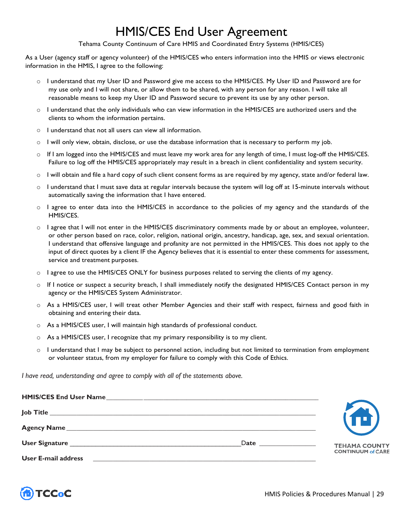## HMIS/CES End User Agreement

Tehama County Continuum of Care HMIS and Coordinated Entry Systems (HMIS/CES)

<span id="page-32-0"></span>As a User (agency staff or agency volunteer) of the HMIS/CES who enters information into the HMIS or views electronic information in the HMIS, I agree to the following:

- o I understand that my User ID and Password give me access to the HMIS/CES. My User ID and Password are for my use only and I will not share, or allow them to be shared, with any person for any reason. I will take all reasonable means to keep my User ID and Password secure to prevent its use by any other person.
- $\circ$  I understand that the only individuals who can view information in the HMIS/CES are authorized users and the clients to whom the information pertains.
- o I understand that not all users can view all information.
- $\circ$  I will only view, obtain, disclose, or use the database information that is necessary to perform my job.
- o If I am logged into the HMIS/CES and must leave my work area for any length of time, I must log-off the HMIS/CES. Failure to log off the HMIS/CES appropriately may result in a breach in client confidentiality and system security.
- o I will obtain and file a hard copy of such client consent forms as are required by my agency, state and/or federal law.
- o I understand that I must save data at regular intervals because the system will log off at 15-minute intervals without automatically saving the information that I have entered.
- o I agree to enter data into the HMIS/CES in accordance to the policies of my agency and the standards of the HMIS/CES.
- o I agree that I will not enter in the HMIS/CES discriminatory comments made by or about an employee, volunteer, or other person based on race, color, religion, national origin, ancestry, handicap, age, sex, and sexual orientation. I understand that offensive language and profanity are not permitted in the HMIS/CES. This does not apply to the input of direct quotes by a client IF the Agency believes that it is essential to enter these comments for assessment, service and treatment purposes.
- $\circ$  I agree to use the HMIS/CES ONLY for business purposes related to serving the clients of my agency.
- o If I notice or suspect a security breach, I shall immediately notify the designated HMIS/CES Contact person in my agency or the HMIS/CES System Administrator.
- o As a HMIS/CES user, I will treat other Member Agencies and their staff with respect, fairness and good faith in obtaining and entering their data.
- o As a HMIS/CES user, I will maintain high standards of professional conduct.
- $\circ$  As a HMIS/CES user, I recognize that my primary responsibility is to my client.
- o I understand that I may be subject to personnel action, including but not limited to termination from employment or volunteer status, from my employer for failure to comply with this Code of Ethics.

*I have read, understanding and agree to comply with all of the statements above.*

| <b>User Signature</b>      | Date | <b>TEHAMA COUNTY</b><br><b>CONTINUUM of CARE</b> |
|----------------------------|------|--------------------------------------------------|
| <b>User E-mail address</b> |      |                                                  |

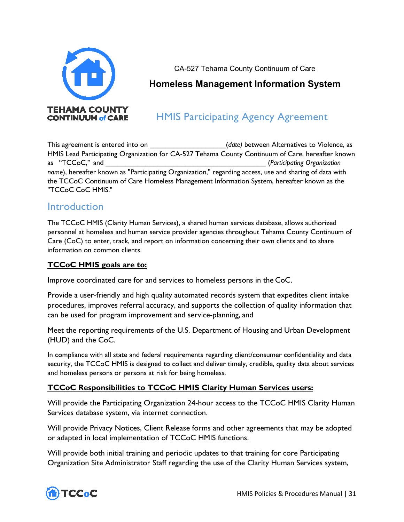

CA-527 Tehama County Continuum of Care

## **Homeless Management Information System**

## HMIS Participating Agency Agreement

<span id="page-34-0"></span>This agreement is entered into on **the entertainment of the entire of the entire of violence**, as HMIS Lead Participating Organization for CA-527 Tehama County Continuum of Care, hereafter known as "TCCoC," and  $(Participating Organization)$ *name*), hereafter known as "Participating Organization," regarding access, use and sharing of data with the TCCoC Continuum of Care Homeless Management Information System, hereafter known as the "TCCoC CoC HMIS."

## **Introduction**

The TCCoC HMIS (Clarity Human Services), a shared human services database, allows authorized personnel at homeless and human service provider agencies throughout Tehama County Continuum of Care (CoC) to enter, track, and report on information concerning their own clients and to share information on common clients.

## **TCCoC HMIS goals are to:**

Improve coordinated care for and services to homeless persons in the CoC.

Provide a user-friendly and high quality automated records system that expedites client intake procedures, improves referral accuracy, and supports the collection of quality information that can be used for program improvement and service-planning, and

Meet the reporting requirements of the U.S. Department of Housing and Urban Development (HUD) and the CoC.

In compliance with all state and federal requirements regarding client/consumer confidentiality and data security, the TCCoC HMIS is designed to collect and deliver timely, credible, quality data about services and homeless persons or persons at risk for being homeless.

## **TCCoC Responsibilities to TCCoC HMIS Clarity Human Services users:**

Will provide the Participating Organization 24-hour access to the TCCoC HMIS Clarity Human Services database system, via internet connection.

Will provide Privacy Notices, Client Release forms and other agreements that may be adopted or adapted in local implementation of TCCoC HMIS functions.

Will provide both initial training and periodic updates to that training for core Participating Organization Site Administrator Staff regarding the use of the Clarity Human Services system,

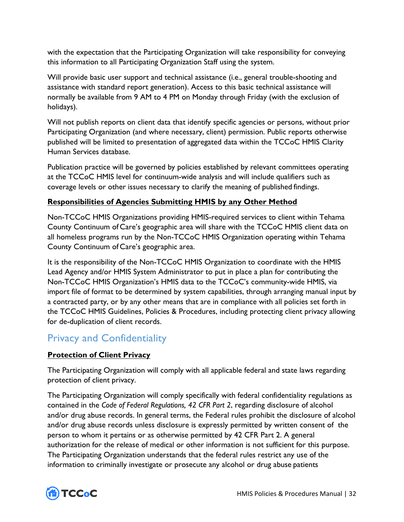with the expectation that the Participating Organization will take responsibility for conveying this information to all Participating Organization Staff using the system.

Will provide basic user support and technical assistance (i.e., general trouble-shooting and assistance with standard report generation). Access to this basic technical assistance will normally be available from 9 AM to 4 PM on Monday through Friday (with the exclusion of holidays).

Will not publish reports on client data that identify specific agencies or persons, without prior Participating Organization (and where necessary, client) permission. Public reports otherwise published will be limited to presentation of aggregated data within the TCCoC HMIS Clarity Human Services database.

Publication practice will be governed by policies established by relevant committees operating at the TCCoC HMIS level for continuum-wide analysis and will include qualifiers such as coverage levels or other issues necessary to clarify the meaning of published findings.

## **Responsibilities of Agencies Submitting HMIS by any Other Method**

Non-TCCoC HMIS Organizations providing HMIS-required services to client within Tehama County Continuum of Care's geographic area will share with the TCCoC HMIS client data on all homeless programs run by the Non-TCCoC HMIS Organization operating within Tehama County Continuum of Care's geographic area.

It is the responsibility of the Non-TCCoC HMIS Organization to coordinate with the HMIS Lead Agency and/or HMIS System Administrator to put in place a plan for contributing the Non-TCCoC HMIS Organization's HMIS data to the TCCoC's community-wide HMIS, via import file of format to be determined by system capabilities, through arranging manual input by a contracted party, or by any other means that are in compliance with all policies set forth in the TCCoC HMIS Guidelines, Policies & Procedures, including protecting client privacy allowing for de-duplication of client records.

## Privacy and Confidentiality

## **Protection of Client Privacy**

The Participating Organization will comply with all applicable federal and state laws regarding protection of client privacy.

The Participating Organization will comply specifically with federal confidentiality regulations as contained in the *Code of Federal Regulations, 42 CFR Part 2*, regarding disclosure of alcohol and/or drug abuse records. In general terms, the Federal rules prohibit the disclosure of alcohol and/or drug abuse records unless disclosure is expressly permitted by written consent of the person to whom it pertains or as otherwise permitted by 42 CFR Part 2. A general authorization for the release of medical or other information is not sufficient for this purpose. The Participating Organization understands that the federal rules restrict any use of the information to criminally investigate or prosecute any alcohol or drug abuse patients

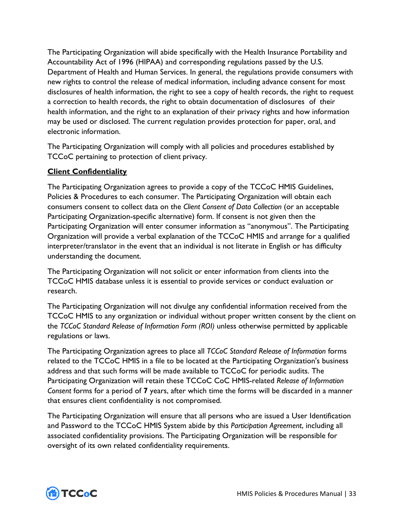The Participating Organization will abide specifically with the Health Insurance Portability and Accountability Act of 1996 (HIPAA) and corresponding regulations passed by the U.S. Department of Health and Human Services. In general, the regulations provide consumers with new rights to control the release of medical information, including advance consent for most disclosures of health information, the right to see a copy of health records, the right to request a correction to health records, the right to obtain documentation of disclosures of their health information, and the right to an explanation of their privacy rights and how information may be used or disclosed. The current regulation provides protection for paper, oral, and electronic information.

The Participating Organization will comply with all policies and procedures established by TCCoC pertaining to protection of client privacy.

## **Client Confidentiality**

The Participating Organization agrees to provide a copy of the TCCoC HMIS Guidelines, Policies & Procedures to each consumer. The Participating Organization will obtain each consumers consent to collect data on the *Client Consent of Data Collection* (or an acceptable Participating Organization-specific alternative) form. If consent is not given then the Participating Organization will enter consumer information as "anonymous". The Participating Organization will provide a verbal explanation of the TCCoC HMIS and arrange for a qualified interpreter/translator in the event that an individual is not literate in English or has difficulty understanding the document.

The Participating Organization will not solicit or enter information from clients into the TCCoC HMIS database unless it is essential to provide services or conduct evaluation or research.

The Participating Organization will not divulge any confidential information received from the TCCoC HMIS to any organization or individual without proper written consent by the client on the *TCCoC Standard Release of Information Form (ROI)* unless otherwise permitted by applicable regulations or laws.

The Participating Organization agrees to place all *TCCoC Standard Release of Information* forms related to the TCCoC HMIS in a file to be located at the Participating Organization's business address and that such forms will be made available to TCCoC for periodic audits. The Participating Organization will retain these TCCoC CoC HMIS-related *Release of Information Consent* forms for a period of **7** years, after which time the forms will be discarded in a manner that ensures client confidentiality is not compromised.

The Participating Organization will ensure that all persons who are issued a User Identification and Password to the TCCoC HMIS System abide by this *Participation Agreement*, including all associated confidentiality provisions. The Participating Organization will be responsible for oversight of its own related confidentiality requirements.

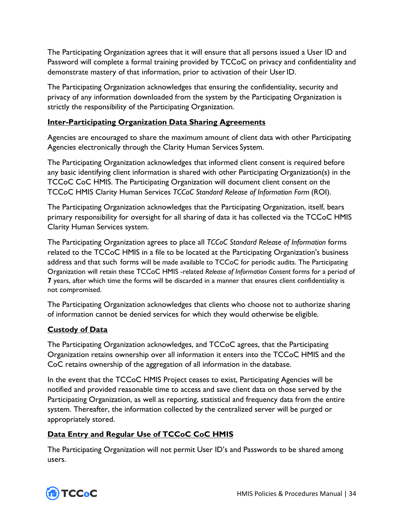The Participating Organization agrees that it will ensure that all persons issued a User ID and Password will complete a formal training provided by TCCoC on privacy and confidentiality and demonstrate mastery of that information, prior to activation of their User ID.

The Participating Organization acknowledges that ensuring the confidentiality, security and privacy of any information downloaded from the system by the Participating Organization is strictly the responsibility of the Participating Organization.

### **Inter-Participating Organization Data Sharing Agreements**

Agencies are encouraged to share the maximum amount of client data with other Participating Agencies electronically through the Clarity Human Services System.

The Participating Organization acknowledges that informed client consent is required before any basic identifying client information is shared with other Participating Organization(s) in the TCCoC CoC HMIS. The Participating Organization will document client consent on the TCCoC HMIS Clarity Human Services *TCCoC Standard Release of Information Form* (ROI).

The Participating Organization acknowledges that the Participating Organization, itself, bears primary responsibility for oversight for all sharing of data it has collected via the TCCoC HMIS Clarity Human Services system.

The Participating Organization agrees to place all *TCCoC Standard Release of Information* forms related to the TCCoC HMIS in a file to be located at the Participating Organization's business address and that such forms will be made available to TCCoC for periodic audits. The Participating Organization will retain these TCCoC HMIS -related *Release of Information Consent* forms for a period of **7** years, after which time the forms will be discarded in a manner that ensures client confidentiality is not compromised.

The Participating Organization acknowledges that clients who choose not to authorize sharing of information cannot be denied services for which they would otherwise be eligible.

## **Custody of Data**

The Participating Organization acknowledges, and TCCoC agrees, that the Participating Organization retains ownership over all information it enters into the TCCoC HMIS and the CoC retains ownership of the aggregation of all information in the database.

In the event that the TCCoC HMIS Project ceases to exist, Participating Agencies will be notified and provided reasonable time to access and save client data on those served by the Participating Organization, as well as reporting, statistical and frequency data from the entire system. Thereafter, the information collected by the centralized server will be purged or appropriately stored.

## **Data Entry and Regular Use of TCCoC CoC HMIS**

The Participating Organization will not permit User ID's and Passwords to be shared among users.

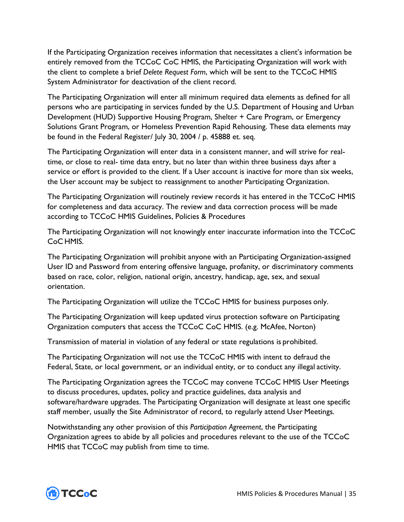If the Participating Organization receives information that necessitates a client's information be entirely removed from the TCCoC CoC HMIS, the Participating Organization will work with the client to complete a brief *Delete Request Form*, which will be sent to the TCCoC HMIS System Administrator for deactivation of the client record.

The Participating Organization will enter all minimum required data elements as defined for all persons who are participating in services funded by the U.S. Department of Housing and Urban Development (HUD) Supportive Housing Program, Shelter + Care Program, or Emergency Solutions Grant Program, or Homeless Prevention Rapid Rehousing. These data elements may be found in the Federal Register/ July 30, 2004 / p. 45888 et. seq.

The Participating Organization will enter data in a consistent manner, and will strive for realtime, or close to real- time data entry, but no later than within three business days after a service or effort is provided to the client. If a User account is inactive for more than six weeks, the User account may be subject to reassignment to another Participating Organization.

The Participating Organization will routinely review records it has entered in the TCCoC HMIS for completeness and data accuracy. The review and data correction process will be made according to TCCoC HMIS Guidelines, Policies & Procedures

The Participating Organization will not knowingly enter inaccurate information into the TCCoC CoC HMIS.

The Participating Organization will prohibit anyone with an Participating Organization-assigned User ID and Password from entering offensive language, profanity, or discriminatory comments based on race, color, religion, national origin, ancestry, handicap, age, sex, and sexual orientation.

The Participating Organization will utilize the TCCoC HMIS for business purposes only.

The Participating Organization will keep updated virus protection software on Participating Organization computers that access the TCCoC CoC HMIS. (e.g. McAfee, Norton)

Transmission of material in violation of any federal or state regulations is prohibited.

The Participating Organization will not use the TCCoC HMIS with intent to defraud the Federal, State, or local government, or an individual entity, or to conduct any illegal activity.

The Participating Organization agrees the TCCoC may convene TCCoC HMIS User Meetings to discuss procedures, updates, policy and practice guidelines, data analysis and software/hardware upgrades. The Participating Organization will designate at least one specific staff member, usually the Site Administrator of record, to regularly attend User Meetings.

Notwithstanding any other provision of this *Participation Agreement*, the Participating Organization agrees to abide by all policies and procedures relevant to the use of the TCCoC HMIS that TCCoC may publish from time to time.

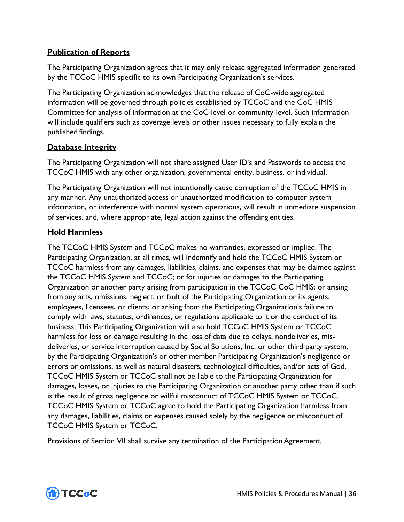### **Publication of Reports**

The Participating Organization agrees that it may only release aggregated information generated by the TCCoC HMIS specific to its own Participating Organization's services.

The Participating Organization acknowledges that the release of CoC-wide aggregated information will be governed through policies established by TCCoC and the CoC HMIS Committee for analysis of information at the CoC-level or community-level. Such information will include qualifiers such as coverage levels or other issues necessary to fully explain the published findings.

### **Database Integrity**

The Participating Organization will not share assigned User ID's and Passwords to access the TCCoC HMIS with any other organization, governmental entity, business, or individual.

The Participating Organization will not intentionally cause corruption of the TCCoC HMIS in any manner. Any unauthorized access or unauthorized modification to computer system information, or interference with normal system operations, will result in immediate suspension of services, and, where appropriate, legal action against the offending entities.

### **Hold Harmless**

The TCCoC HMIS System and TCCoC makes no warranties, expressed or implied. The Participating Organization, at all times, will indemnify and hold the TCCoC HMIS System or TCCoC harmless from any damages, liabilities, claims, and expenses that may be claimed against the TCCoC HMIS System and TCCoC; or for injuries or damages to the Participating Organization or another party arising from participation in the TCCoC CoC HMIS; or arising from any acts, omissions, neglect, or fault of the Participating Organization or its agents, employees, licensees, or clients; or arising from the Participating Organization's failure to comply with laws, statutes, ordinances, or regulations applicable to it or the conduct of its business. This Participating Organization will also hold TCCoC HMIS System or TCCoC harmless for loss or damage resulting in the loss of data due to delays, nondeliveries, misdeliveries, or service interruption caused by Social Solutions, Inc. or other third party system, by the Participating Organization's or other member Participating Organization's negligence or errors or omissions, as well as natural disasters, technological difficulties, and/or acts of God. TCCoC HMIS System or TCCoC shall not be liable to the Participating Organization for damages, losses, or injuries to the Participating Organization or another party other than if such is the result of gross negligence or willful misconduct of TCCoC HMIS System or TCCoC. TCCoC HMIS System or TCCoC agree to hold the Participating Organization harmless from any damages, liabilities, claims or expenses caused solely by the negligence or misconduct of TCCoC HMIS System or TCCoC.

Provisions of Section VII shall survive any termination of the Participation Agreement.